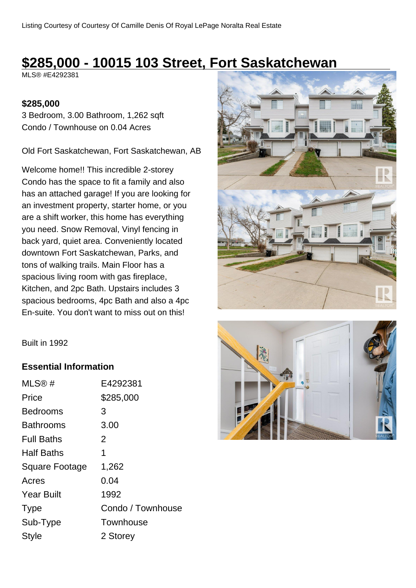# **\$285,000 - 10015 103 Street, Fort Saskatchewan**

MLS® #E4292381

#### **\$285,000**

3 Bedroom, 3.00 Bathroom, 1,262 sqft Condo / Townhouse on 0.04 Acres

Old Fort Saskatchewan, Fort Saskatchewan, AB

Welcome home!! This incredible 2-storey Condo has the space to fit a family and also has an attached garage! If you are looking for an investment property, starter home, or you are a shift worker, this home has everything you need. Snow Removal, Vinyl fencing in back yard, quiet area. Conveniently located downtown Fort Saskatchewan, Parks, and tons of walking trails. Main Floor has a spacious living room with gas fireplace, Kitchen, and 2pc Bath. Upstairs includes 3 spacious bedrooms, 4pc Bath and also a 4pc En-suite. You don't want to miss out on this!





#### **Essential Information**

| MLS®#                 | E4292381          |
|-----------------------|-------------------|
| Price                 | \$285,000         |
| Bedrooms              | 3                 |
| Bathrooms             | 3.00              |
| <b>Full Baths</b>     | 2                 |
| <b>Half Baths</b>     | 1                 |
| <b>Square Footage</b> | 1,262             |
| Acres                 | 0.04              |
| <b>Year Built</b>     | 1992              |
| <b>Type</b>           | Condo / Townhouse |
| Sub-Type              | Townhouse         |
| <b>Style</b>          | 2 Storey          |
|                       |                   |

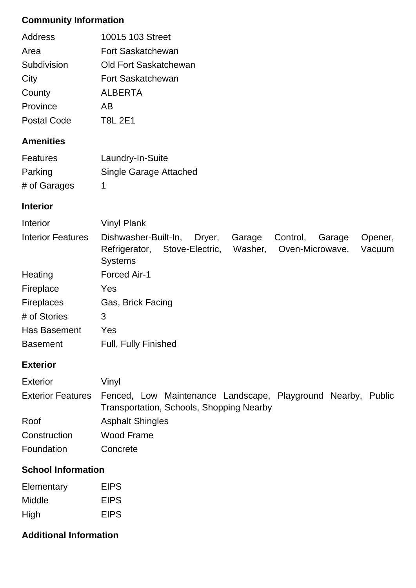## **Community Information**

| Address     | 10015 103 Street         |
|-------------|--------------------------|
| Area        | <b>Fort Saskatchewan</b> |
| Subdivision | Old Fort Saskatchewan    |
| City        | Fort Saskatchewan        |
| County      | <b>ALBERTA</b>           |
| Province    | AB                       |
| Postal Code | <b>T8L 2E1</b>           |

## **Amenities**

| <b>Features</b> | Laundry-In-Suite       |
|-----------------|------------------------|
| Parking         | Single Garage Attached |
| # of Garages    |                        |

#### **Interior**

| Interior                 | <b>Vinyl Plank</b>                                                                                                                                                      |
|--------------------------|-------------------------------------------------------------------------------------------------------------------------------------------------------------------------|
| <b>Interior Features</b> | Dishwasher-Built-In,<br>Dryer,<br>Garage<br>Control,<br>Garage<br>Opener,<br>Stove-Electric,<br>Washer,<br>Oven-Microwave,<br>Vacuum<br>Refrigerator,<br><b>Systems</b> |
| Heating                  | Forced Air-1                                                                                                                                                            |
| Fireplace                | Yes                                                                                                                                                                     |
| <b>Fireplaces</b>        | Gas, Brick Facing                                                                                                                                                       |
| # of Stories             | 3                                                                                                                                                                       |
| <b>Has Basement</b>      | Yes                                                                                                                                                                     |
| <b>Basement</b>          | <b>Full, Fully Finished</b>                                                                                                                                             |

# **Exterior**

| <b>Exterior</b>          | Vinyl                                                                                                    |
|--------------------------|----------------------------------------------------------------------------------------------------------|
| <b>Exterior Features</b> | Fenced, Low Maintenance Landscape, Playground Nearby, Public<br>Transportation, Schools, Shopping Nearby |
| Roof                     | <b>Asphalt Shingles</b>                                                                                  |
| Construction             | Wood Frame                                                                                               |
| Foundation               | Concrete                                                                                                 |

### **School Information**

| Elementary | <b>EIPS</b> |
|------------|-------------|
| Middle     | <b>EIPS</b> |
| High       | <b>EIPS</b> |

## **Additional Information**